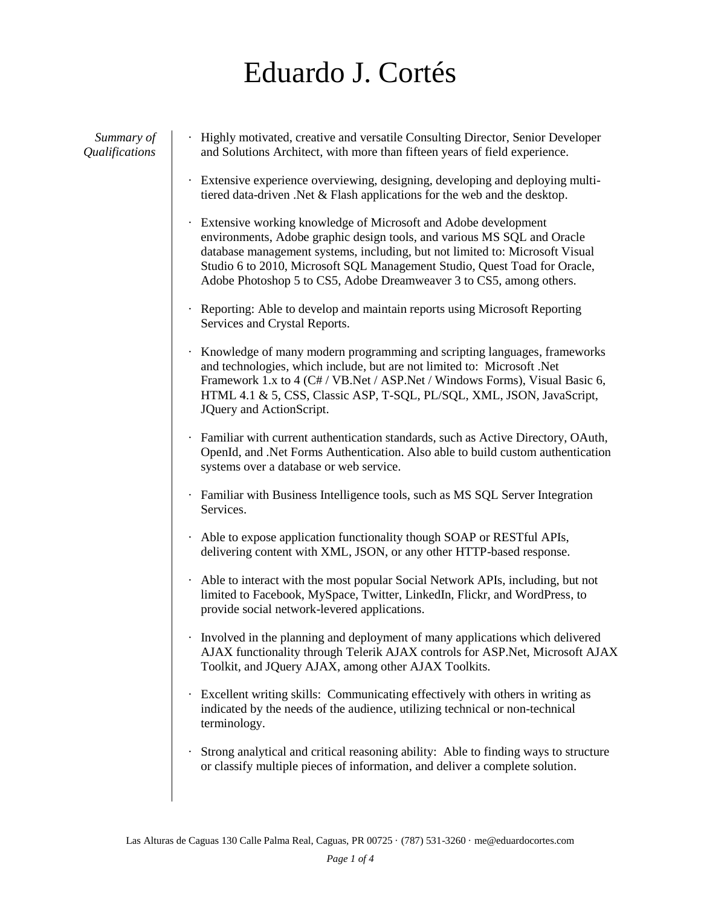## Eduardo J. Cortés

*Summary of Qualifications*

- · Highly motivated, creative and versatile Consulting Director, Senior Developer and Solutions Architect, with more than fifteen years of field experience.
- · Extensive experience overviewing, designing, developing and deploying multitiered data-driven .Net & Flash applications for the web and the desktop.
- · Extensive working knowledge of Microsoft and Adobe development environments, Adobe graphic design tools, and various MS SQL and Oracle database management systems, including, but not limited to: Microsoft Visual Studio 6 to 2010, Microsoft SQL Management Studio, Quest Toad for Oracle, Adobe Photoshop 5 to CS5, Adobe Dreamweaver 3 to CS5, among others.
- · Reporting: Able to develop and maintain reports using Microsoft Reporting Services and Crystal Reports.
- · Knowledge of many modern programming and scripting languages, frameworks and technologies, which include, but are not limited to: Microsoft .Net Framework 1.x to 4 (C# / VB.Net / ASP.Net / Windows Forms), Visual Basic 6, HTML 4.1 & 5, CSS, Classic ASP, T-SQL, PL/SQL, XML, JSON, JavaScript, JQuery and ActionScript.
- · Familiar with current authentication standards, such as Active Directory, OAuth, OpenId, and .Net Forms Authentication. Also able to build custom authentication systems over a database or web service.
- · Familiar with Business Intelligence tools, such as MS SQL Server Integration Services.
- · Able to expose application functionality though SOAP or RESTful APIs, delivering content with XML, JSON, or any other HTTP-based response.
- · Able to interact with the most popular Social Network APIs, including, but not limited to Facebook, MySpace, Twitter, LinkedIn, Flickr, and WordPress, to provide social network-levered applications.
- · Involved in the planning and deployment of many applications which delivered AJAX functionality through Telerik AJAX controls for ASP.Net, Microsoft AJAX Toolkit, and JQuery AJAX, among other AJAX Toolkits.
- · Excellent writing skills: Communicating effectively with others in writing as indicated by the needs of the audience, utilizing technical or non-technical terminology.
- · Strong analytical and critical reasoning ability: Able to finding ways to structure or classify multiple pieces of information, and deliver a complete solution.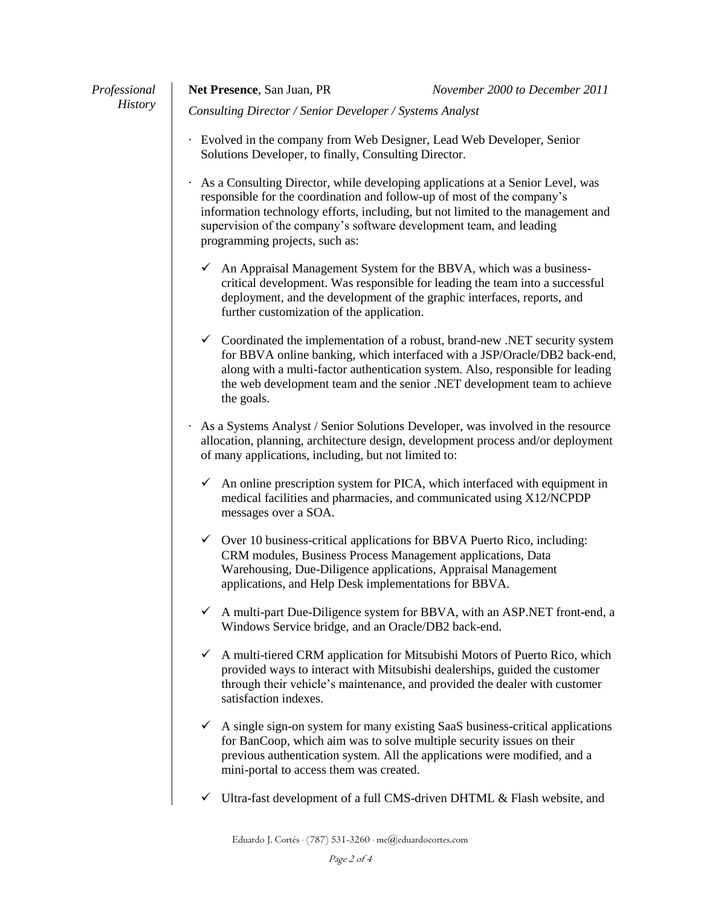| Professional   | Net Presence, San Juan, PR                                                                                                                                                                                                                                                                                                                             | November 2000 to December 2011                                                                                                                                                                                                         |
|----------------|--------------------------------------------------------------------------------------------------------------------------------------------------------------------------------------------------------------------------------------------------------------------------------------------------------------------------------------------------------|----------------------------------------------------------------------------------------------------------------------------------------------------------------------------------------------------------------------------------------|
| <b>History</b> | Consulting Director / Senior Developer / Systems Analyst                                                                                                                                                                                                                                                                                               |                                                                                                                                                                                                                                        |
|                | Evolved in the company from Web Designer, Lead Web Developer, Senior<br>Solutions Developer, to finally, Consulting Director.                                                                                                                                                                                                                          |                                                                                                                                                                                                                                        |
|                | As a Consulting Director, while developing applications at a Senior Level, was<br>responsible for the coordination and follow-up of most of the company's<br>information technology efforts, including, but not limited to the management and<br>supervision of the company's software development team, and leading<br>programming projects, such as: |                                                                                                                                                                                                                                        |
|                | $\checkmark$ An Appraisal Management System for the BBVA, which was a business-<br>critical development. Was responsible for leading the team into a successful<br>deployment, and the development of the graphic interfaces, reports, and<br>further customization of the application.                                                                |                                                                                                                                                                                                                                        |
|                | $\checkmark$ Coordinated the implementation of a robust, brand-new .NET security system<br>for BBVA online banking, which interfaced with a JSP/Oracle/DB2 back-end,<br>along with a multi-factor authentication system. Also, responsible for leading<br>the web development team and the senior .NET development team to achieve<br>the goals.       |                                                                                                                                                                                                                                        |
|                | As a Systems Analyst / Senior Solutions Developer, was involved in the resource<br>allocation, planning, architecture design, development process and/or deployment<br>of many applications, including, but not limited to:                                                                                                                            |                                                                                                                                                                                                                                        |
|                | messages over a SOA.                                                                                                                                                                                                                                                                                                                                   | $\checkmark$ An online prescription system for PICA, which interfaced with equipment in<br>medical facilities and pharmacies, and communicated using X12/NCPDP                                                                         |
|                | CRM modules, Business Process Management applications, Data<br>applications, and Help Desk implementations for BBVA.                                                                                                                                                                                                                                   | $\checkmark$ Over 10 business-critical applications for BBVA Puerto Rico, including:<br>Warehousing, Due-Diligence applications, Appraisal Management                                                                                  |
|                | Windows Service bridge, and an Oracle/DB2 back-end.                                                                                                                                                                                                                                                                                                    | A multi-part Due-Diligence system for BBVA, with an ASP.NET front-end, a                                                                                                                                                               |
|                | $\checkmark$<br>satisfaction indexes.                                                                                                                                                                                                                                                                                                                  | A multi-tiered CRM application for Mitsubishi Motors of Puerto Rico, which<br>provided ways to interact with Mitsubishi dealerships, guided the customer<br>through their vehicle's maintenance, and provided the dealer with customer |
|                | mini-portal to access them was created.                                                                                                                                                                                                                                                                                                                | A single sign-on system for many existing SaaS business-critical applications<br>for BanCoop, which aim was to solve multiple security issues on their<br>previous authentication system. All the applications were modified, and a    |
|                |                                                                                                                                                                                                                                                                                                                                                        | Ultra-fast development of a full CMS-driven DHTML & Flash website, and                                                                                                                                                                 |

Eduardo J. Cortés · (787) 531-3260 · me@eduardocortes.com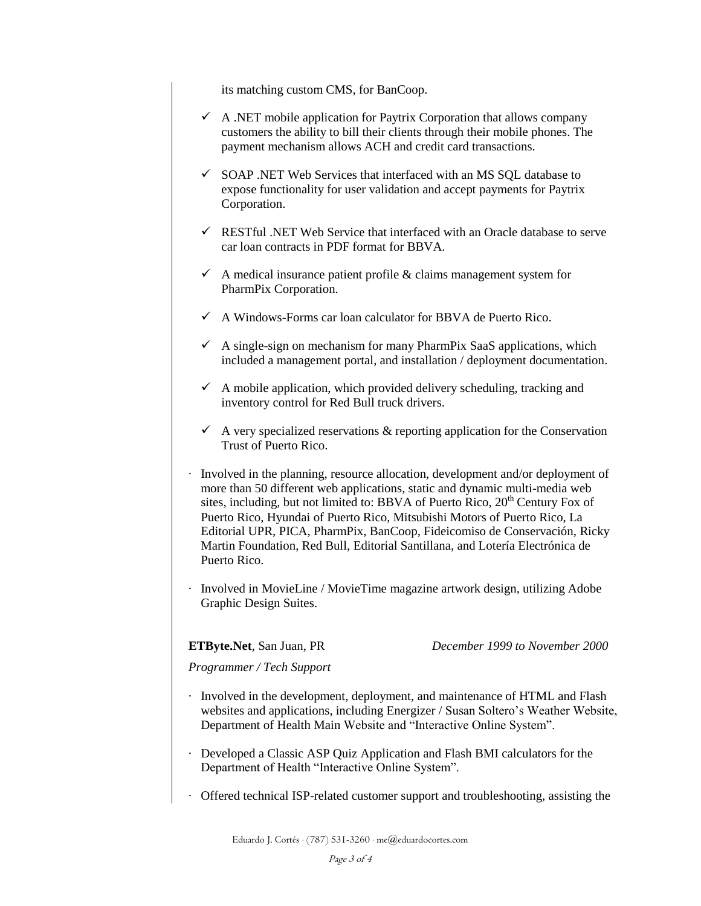its matching custom CMS, for BanCoop.

- $\checkmark$  A .NET mobile application for Paytrix Corporation that allows company customers the ability to bill their clients through their mobile phones. The payment mechanism allows ACH and credit card transactions.
- $\checkmark$  SOAP .NET Web Services that interfaced with an MS SQL database to expose functionality for user validation and accept payments for Paytrix Corporation.
- $\checkmark$  RESTful .NET Web Service that interfaced with an Oracle database to serve car loan contracts in PDF format for BBVA.
- $\checkmark$  A medical insurance patient profile & claims management system for PharmPix Corporation.
- $\checkmark$  A Windows-Forms car loan calculator for BBVA de Puerto Rico.
- $\checkmark$  A single-sign on mechanism for many PharmPix SaaS applications, which included a management portal, and installation / deployment documentation.
- $\checkmark$  A mobile application, which provided delivery scheduling, tracking and inventory control for Red Bull truck drivers.
- $\checkmark$  A very specialized reservations & reporting application for the Conservation Trust of Puerto Rico.
- · Involved in the planning, resource allocation, development and/or deployment of more than 50 different web applications, static and dynamic multi-media web sites, including, but not limited to: BBVA of Puerto Rico,  $20<sup>th</sup>$  Century Fox of Puerto Rico, Hyundai of Puerto Rico, Mitsubishi Motors of Puerto Rico, La Editorial UPR, PICA, PharmPix, BanCoop, Fideicomiso de Conservación, Ricky Martin Foundation, Red Bull, Editorial Santillana, and Lotería Electrónica de Puerto Rico.
- · Involved in MovieLine / MovieTime magazine artwork design, utilizing Adobe Graphic Design Suites.

**ETByte.Net**, San Juan, PR *December 1999 to November 2000*

*Programmer / Tech Support*

- · Involved in the development, deployment, and maintenance of HTML and Flash websites and applications, including Energizer / Susan Soltero's Weather Website, Department of Health Main Website and "Interactive Online System".
- · Developed a Classic ASP Quiz Application and Flash BMI calculators for the Department of Health "Interactive Online System".
- · Offered technical ISP-related customer support and troubleshooting, assisting the